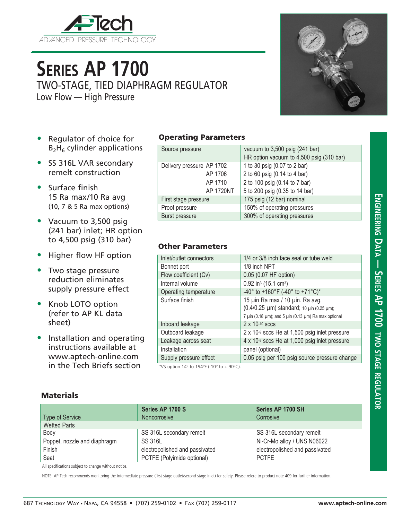

# **Series AP 1700**

TWO-STAGE, TIED DIAPHRAGM REGULATOR

Low Flow — High Pressure



- Regulator of choice for  $B_2H_6$  cylinder applications
- SS 316L VAR secondary remelt construction
- Surface finish 15 Ra max/10 Ra avg (10, 7 & 5 Ra max options)
- Vacuum to 3,500 psig (241 bar) inlet; HR option to 4,500 psig (310 bar)
- Higher flow HF option
- Two stage pressure reduction eliminates supply pressure effect
- Knob LOTO option (refer to AP KL data sheet)
- Installation and operating instructions available at www.aptech-online.com in the Tech Briefs section

#### Operating Parameters

| Source pressure           | vacuum to 3,500 psig (241 bar)<br>HR option vacuum to 4,500 psig (310 bar) |  |
|---------------------------|----------------------------------------------------------------------------|--|
| Delivery pressure AP 1702 | 1 to 30 psig (0.07 to 2 bar)                                               |  |
| AP 1706                   | 2 to 60 psig (0.14 to 4 bar)                                               |  |
| AP 1710                   | 2 to 100 psig (0.14 to 7 bar)                                              |  |
| AP 1720NT                 | 5 to 200 psig (0.35 to 14 bar)                                             |  |
| First stage pressure      | 175 psig (12 bar) nominal                                                  |  |
| Proof pressure            | 150% of operating pressures                                                |  |
| Burst pressure            | 300% of operating pressures                                                |  |

### Other Parameters

| Inlet/outlet connectors | 1/4 or 3/8 inch face seal or tube weld                                                                                                                   |  |  |
|-------------------------|----------------------------------------------------------------------------------------------------------------------------------------------------------|--|--|
| Bonnet port             | 1/8 inch NPT                                                                                                                                             |  |  |
| Flow coefficient (Cv)   | 0.05 (0.07 HF option)                                                                                                                                    |  |  |
| Internal volume         | $0.92$ in <sup>3</sup> (15.1 cm <sup>3</sup> )                                                                                                           |  |  |
| Operating temperature   | -40° to +160°F (-40° to +71°C)*                                                                                                                          |  |  |
| Surface finish          | 15 µin Ra max / 10 µin. Ra avg.<br>(0.4/0.25 µm) standard; 10 µin (0.25 µm);<br>7 $\mu$ in (0.18 $\mu$ m); and 5 $\mu$ in (0.13 $\mu$ m) Ra max optional |  |  |
| Inboard leakage         | $2 \times 10^{-10}$ sccs                                                                                                                                 |  |  |
| Outboard leakage        | 2 x 10-9 sccs He at 1,500 psig inlet pressure                                                                                                            |  |  |
| Leakage across seat     | 4 x 10-8 sccs He at 1,000 psig inlet pressure                                                                                                            |  |  |
| Installation            | panel (optional)                                                                                                                                         |  |  |
| Supply pressure effect  | 0.05 psig per 100 psig source pressure change                                                                                                            |  |  |
|                         |                                                                                                                                                          |  |  |

\*VS option  $14^{\circ}$  to  $194^{\circ}$ F (-10° to + 90°C).

### **Materials**

| <b>Type of Service</b>       | Series AP 1700 S<br><b>Noncorrosive</b> | Series AP 1700 SH<br>Corrosive |
|------------------------------|-----------------------------------------|--------------------------------|
| <b>Wetted Parts</b>          |                                         |                                |
| Body                         | SS 316L secondary remelt                | SS 316L secondary remelt       |
| Poppet, nozzle and diaphragm | <b>SS 316L</b>                          | Ni-Cr-Mo alloy / UNS N06022    |
| Finish                       | electropolished and passivated          | electropolished and passivated |
| Seat                         | PCTFE (Polyimide optional)              | <b>PCTFE</b>                   |

All specifications subject to change without notice.

NOTE: AP Tech recommends monitoring the intermediate pressure (first stage outlet/second stage inlet) for safety. Please refere to product note 409 for further information.